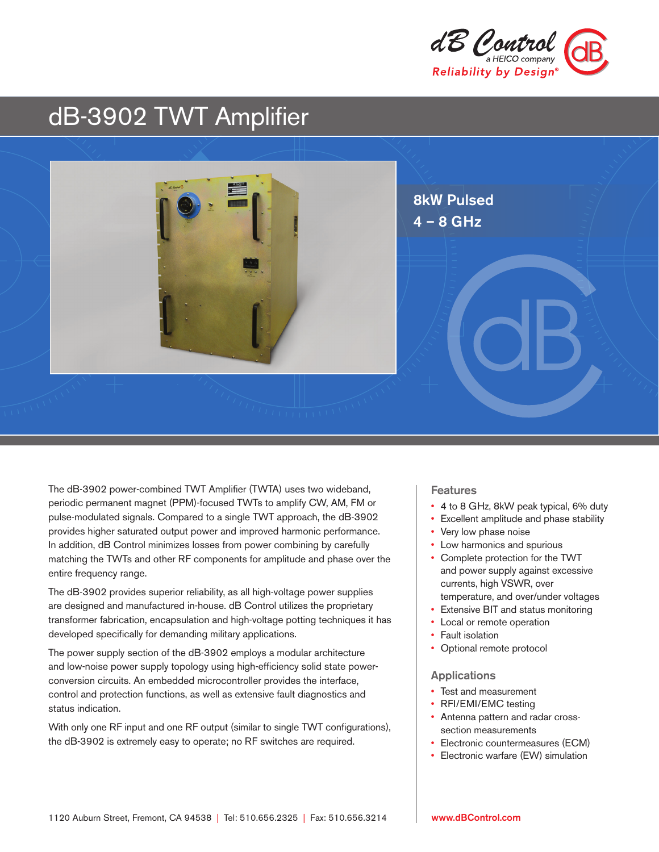

# dB-3902 TWT Amplifier



The dB-3902 power-combined TWT Amplifier (TWTA) uses two wideband, periodic permanent magnet (PPM)-focused TWTs to amplify CW, AM, FM or pulse-modulated signals. Compared to a single TWT approach, the dB-3902 provides higher saturated output power and improved harmonic performance. In addition, dB Control minimizes losses from power combining by carefully matching the TWTs and other RF components for amplitude and phase over the entire frequency range.

The dB-3902 provides superior reliability, as all high-voltage power supplies are designed and manufactured in-house. dB Control utilizes the proprietary transformer fabrication, encapsulation and high-voltage potting techniques it has developed specifically for demanding military applications.

The power supply section of the dB-3902 employs a modular architecture and low-noise power supply topology using high-efficiency solid state powerconversion circuits. An embedded microcontroller provides the interface, control and protection functions, as well as extensive fault diagnostics and status indication.

With only one RF input and one RF output (similar to single TWT configurations), the dB-3902 is extremely easy to operate; no RF switches are required.

#### Features

- 4 to 8 GHz, 8kW peak typical, 6% duty
- Excellent amplitude and phase stability
- Very low phase noise
- Low harmonics and spurious
- Complete protection for the TWT and power supply against excessive currents, high VSWR, over temperature, and over/under voltages
- Extensive BIT and status monitoring
- Local or remote operation
- Fault isolation
- Optional remote protocol

#### **Applications**

- Test and measurement
- RFI/EMI/EMC testing
- Antenna pattern and radar crosssection measurements
- Electronic countermeasures (ECM)
- Electronic warfare (EW) simulation